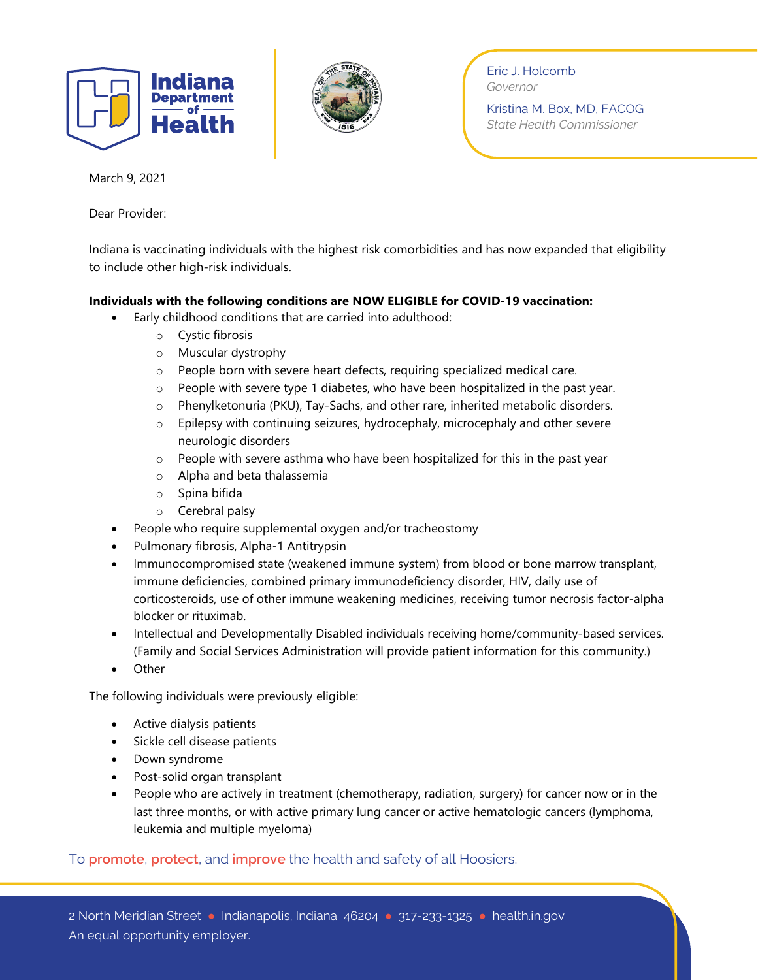



Eric J. Holcomb *Governor*

Kristina M. Box, MD, FACOG *State Health Commissioner*

March 9, 2021

Dear Provider:

Indiana is vaccinating individuals with the highest risk comorbidities and has now expanded that eligibility to include other high-risk individuals.

## **Individuals with the following conditions are NOW ELIGIBLE for COVID-19 vaccination:**

- Early childhood conditions that are carried into adulthood:
	- o Cystic fibrosis
	- o Muscular dystrophy
	- o People born with severe heart defects, requiring specialized medical care.
	- o People with severe type 1 diabetes, who have been hospitalized in the past year.
	- o Phenylketonuria (PKU), Tay-Sachs, and other rare, inherited metabolic disorders.
	- o Epilepsy with continuing seizures, hydrocephaly, microcephaly and other severe neurologic disorders
	- $\circ$  People with severe asthma who have been hospitalized for this in the past year
	- o Alpha and beta thalassemia
	- o Spina bifida
	- o Cerebral palsy
- People who require supplemental oxygen and/or tracheostomy
- Pulmonary fibrosis, Alpha-1 Antitrypsin
- Immunocompromised state (weakened immune system) from blood or bone marrow transplant, immune deficiencies, combined primary immunodeficiency disorder, HIV, daily use of corticosteroids, use of other immune weakening medicines, receiving tumor necrosis factor-alpha blocker or rituximab.
- Intellectual and Developmentally Disabled individuals receiving home/community-based services. (Family and Social Services Administration will provide patient information for this community.)
- **Other**

The following individuals were previously eligible:

- Active dialysis patients
- Sickle cell disease patients
- Down syndrome
- Post-solid organ transplant
- People who are actively in treatment (chemotherapy, radiation, surgery) for cancer now or in the last three months, or with active primary lung cancer or active hematologic cancers (lymphoma, leukemia and multiple myeloma)

To **promote**, **protect**, and **improve** the health and safety of all Hoosiers.